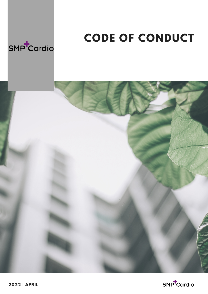

## **CODE OF CONDUCT**





**2022 | APRIL**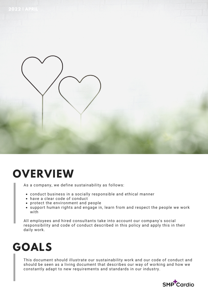

### **OVERVIEW**

As a company, we define sustainability as follows:

- conduct business in a socially responsible and ethical manner
- have a clear code of conduct
- protect the environment and people
- support human rights and engage in, learn from and respect the people we work with

All employees and hired consultants take into account our company's social responsibility and code of conduct described in this policy and apply this in their daily work.

# **GOALS**

This document should illustrate our sustainability work and our code of conduct and should be seen as a living document that describes our way of working and how we constantly adapt to new requirements and standards in our industry.

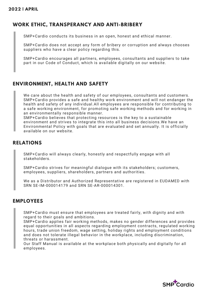#### **WORK ETHIC, TRANSPERANCY AND ANTI-BRIBERY**

SMP+Cardio conducts its business in an open, honest and ethical manner.

SMP+Cardio does not accept any form of bribery or corruption and always chooses suppliers who have a clear policy regarding this.

SMP+Cardio encourages all partners, employees, consultants and suppliers to take part in our Code of Conduct, which is available digitally on our website.

#### **ENVIRONMENT, HEALTH AND SAFETY**

We care about the health and safety of our employees, consultants and customers. SMP+Cardio provides a safe and healthy work environment and will not endanger the health and safety of any individual.All employees are responsible for contributing to a safe working environment, for promoting safe working methods and for working in an environmentally responsible manner.

SMP+Cardio believes that protecting resources is the key to a sustainable environment and strives to integrate this into all business decisions.We have an Environmental Policy with goals that are evaluated and set annually. It is officially available on our website.

#### **RELATIONS**

SMP+Cardio will always clearly, honestly and respectfully engage with all stakeholders.

SMP+Cardio strives for meaningful dialogue with its stakeholders; customers, employees, suppliers, shareholders, partners and authorities.

We as a Distributor and Authorized Representative are registered in EUDAMED with SRN SE-IM-000014179 and SRN SE-AR-000014301.

#### **EMPLOYEES**

SMP+Cardio must ensure that employees are treated fairly, with dignity and with regard to their goals and ambitions.

SMP+Cardio applies fair working methods, makes no gender differences and provides equal opportunities in all aspects regarding employment contracts, regulated working hours, trade union freedom, wage setting, holiday rights and employment conditions and does not tolerate illegal behavior in the workplace, including discrimination, threats or harassment.

Our Staff Manual is available at the workplace both physically and digitally for all employees.